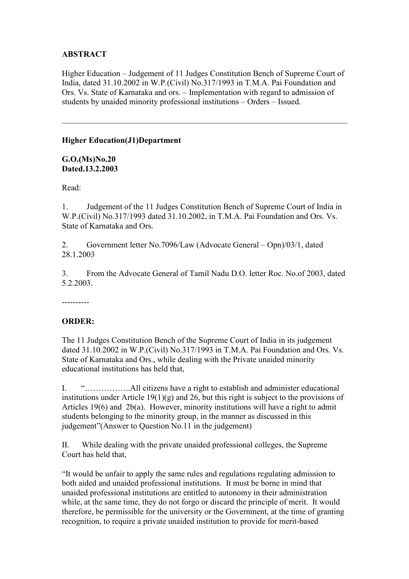# **ABSTRACT**

Higher Education – Judgement of 11 Judges Constitution Bench of Supreme Court of India, dated 31.10.2002 in W.P.(Civil) No.317/1993 in T.M.A. Pai Foundation and Ors. Vs. State of Karnataka and ors. – Implementation with regard to admission of students by unaided minority professional institutions – Orders – Issued.

## **Higher Education(J1)Department**

**G.O.(Ms)No.20 Dated.13.2.2003**

Read:

1. Judgement of the 11 Judges Constitution Bench of Supreme Court of India in W.P.(Civil) No.317/1993 dated 31.10.2002, in T.M.A. Pai Foundation and Ors. Vs. State of Karnataka and Ors.

2. Government letter No.7096/Law (Advocate General – Opn)/03/1, dated 28.1.2003

3. From the Advocate General of Tamil Nadu D.O. letter Roc. No.of 2003, dated 5.2.2003.

----------

## **ORDER:**

The 11 Judges Constitution Bench of the Supreme Court of India in its judgement dated 31.10.2002 in W.P.(Civil) No.317/1993 in T.M.A. Pai Foundation and Ors. Vs. State of Karnataka and Ors., while dealing with the Private unaided minority educational institutions has held that,

I. "……………..All citizens have a right to establish and administer educational institutions under Article 19(1)(g) and 26, but this right is subject to the provisions of Articles 19(6) and 2b(a). However, minority institutions will have a right to admit students belonging to the minority group, in the manner as discussed in this judgement"(Answer to Question No.11 in the judgement)

II. While dealing with the private unaided professional colleges, the Supreme Court has held that,

"It would be unfair to apply the same rules and regulations regulating admission to both aided and unaided professional institutions. It must be borne in mind that unaided professional institutions are entitled to autonomy in their administration while, at the same time, they do not forgo or discard the principle of merit. It would therefore, be permissible for the university or the Government, at the time of granting recognition, to require a private unaided institution to provide for merit-based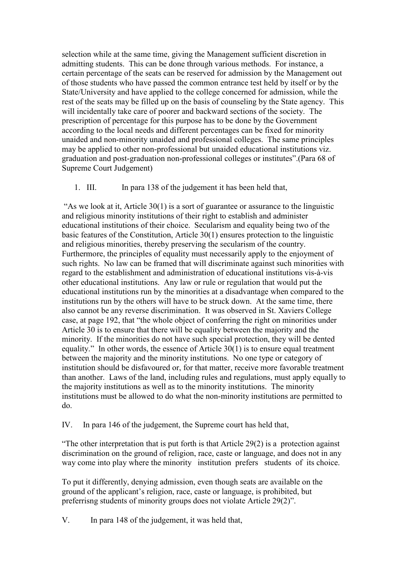selection while at the same time, giving the Management sufficient discretion in admitting students. This can be done through various methods. For instance, a certain percentage of the seats can be reserved for admission by the Management out of those students who have passed the common entrance test held by itself or by the State/University and have applied to the college concerned for admission, while the rest of the seats may be filled up on the basis of counseling by the State agency. This will incidentally take care of poorer and backward sections of the society. The prescription of percentage for this purpose has to be done by the Government according to the local needs and different percentages can be fixed for minority unaided and non-minority unaided and professional colleges. The same principles may be applied to other non-professional but unaided educational institutions viz. graduation and post-graduation non-professional colleges or institutes".(Para 68 of Supreme Court Judgement)

1. III. In para 138 of the judgement it has been held that,

 "As we look at it, Article 30(1) is a sort of guarantee or assurance to the linguistic and religious minority institutions of their right to establish and administer educational institutions of their choice. Secularism and equality being two of the basic features of the Constitution, Article 30(1) ensures protection to the linguistic and religious minorities, thereby preserving the secularism of the country. Furthermore, the principles of equality must necessarily apply to the enjoyment of such rights. No law can be framed that will discriminate against such minorities with regard to the establishment and administration of educational institutions vis-à-vis other educational institutions. Any law or rule or regulation that would put the educational institutions run by the minorities at a disadvantage when compared to the institutions run by the others will have to be struck down. At the same time, there also cannot be any reverse discrimination. It was observed in St. Xaviers College case, at page 192, that "the whole object of conferring the right on minorities under Article 30 is to ensure that there will be equality between the majority and the minority. If the minorities do not have such special protection, they will be dented equality." In other words, the essence of Article 30(1) is to ensure equal treatment between the majority and the minority institutions. No one type or category of institution should be disfavoured or, for that matter, receive more favorable treatment than another. Laws of the land, including rules and regulations, must apply equally to the majority institutions as well as to the minority institutions. The minority institutions must be allowed to do what the non-minority institutions are permitted to do.

IV. In para 146 of the judgement, the Supreme court has held that,

"The other interpretation that is put forth is that Article 29(2) is a protection against discrimination on the ground of religion, race, caste or language, and does not in any way come into play where the minority institution prefers students of its choice.

To put it differently, denying admission, even though seats are available on the ground of the applicant's religion, race, caste or language, is prohibited, but preferrisng students of minority groups does not violate Article 29(2)".

V. In para 148 of the judgement, it was held that,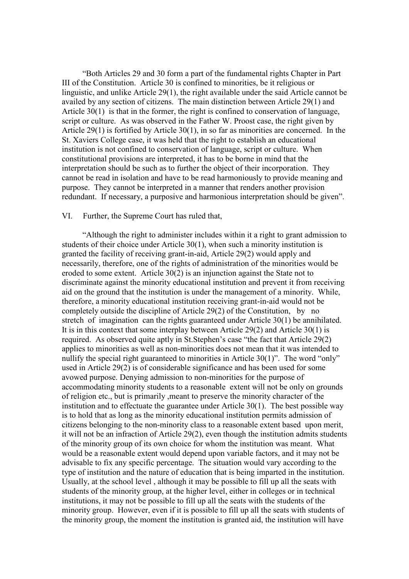"Both Articles 29 and 30 form a part of the fundamental rights Chapter in Part III of the Constitution. Article 30 is confined to minorities, be it religious or linguistic, and unlike Article 29(1), the right available under the said Article cannot be availed by any section of citizens. The main distinction between Article 29(1) and Article 30(1) is that in the former, the right is confined to conservation of language, script or culture. As was observed in the Father W. Proost case, the right given by Article 29(1) is fortified by Article 30(1), in so far as minorities are concerned. In the St. Xaviers College case, it was held that the right to establish an educational institution is not confined to conservation of language, script or culture. When constitutional provisions are interpreted, it has to be borne in mind that the interpretation should be such as to further the object of their incorporation. They cannot be read in isolation and have to be read harmoniously to provide meaning and purpose. They cannot be interpreted in a manner that renders another provision redundant. If necessary, a purposive and harmonious interpretation should be given".

### VI. Further, the Supreme Court has ruled that,

 "Although the right to administer includes within it a right to grant admission to students of their choice under Article 30(1), when such a minority institution is granted the facility of receiving grant-in-aid, Article 29(2) would apply and necessarily, therefore, one of the rights of administration of the minorities would be eroded to some extent. Article 30(2) is an injunction against the State not to discriminate against the minority educational institution and prevent it from receiving aid on the ground that the institution is under the management of a minority. While, therefore, a minority educational institution receiving grant-in-aid would not be completely outside the discipline of Article 29(2) of the Constitution, by no stretch of imagination can the rights guaranteed under Article 30(1) be annihilated. It is in this context that some interplay between Article 29(2) and Article 30(1) is required. As observed quite aptly in St.Stephen's case "the fact that Article 29(2) applies to minorities as well as non-minorities does not mean that it was intended to nullify the special right guaranteed to minorities in Article 30(1)". The word "only" used in Article 29(2) is of considerable significance and has been used for some avowed purpose. Denying admission to non-minorities for the purpose of accommodating minority students to a reasonable extent will not be only on grounds of religion etc., but is primarily ,meant to preserve the minority character of the institution and to effectuate the guarantee under Article 30(1). The best possible way is to hold that as long as the minority educational institution permits admission of citizens belonging to the non-minority class to a reasonable extent based upon merit, it will not be an infraction of Article 29(2), even though the institution admits students of the minority group of its own choice for whom the institution was meant. What would be a reasonable extent would depend upon variable factors, and it may not be advisable to fix any specific percentage. The situation would vary according to the type of institution and the nature of education that is being imparted in the institution. Usually, at the school level , although it may be possible to fill up all the seats with students of the minority group, at the higher level, either in colleges or in technical institutions, it may not be possible to fill up all the seats with the students of the minority group. However, even if it is possible to fill up all the seats with students of the minority group, the moment the institution is granted aid, the institution will have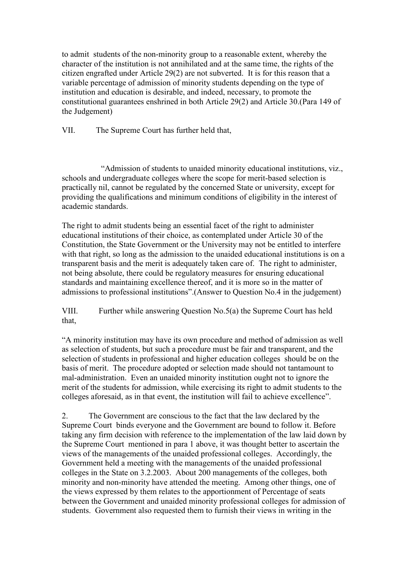to admit students of the non-minority group to a reasonable extent, whereby the character of the institution is not annihilated and at the same time, the rights of the citizen engrafted under Article 29(2) are not subverted. It is for this reason that a variable percentage of admission of minority students depending on the type of institution and education is desirable, and indeed, necessary, to promote the constitutional guarantees enshrined in both Article 29(2) and Article 30.(Para 149 of the Judgement)

VII. The Supreme Court has further held that,

 "Admission of students to unaided minority educational institutions, viz., schools and undergraduate colleges where the scope for merit-based selection is practically nil, cannot be regulated by the concerned State or university, except for providing the qualifications and minimum conditions of eligibility in the interest of academic standards.

The right to admit students being an essential facet of the right to administer educational institutions of their choice, as contemplated under Article 30 of the Constitution, the State Government or the University may not be entitled to interfere with that right, so long as the admission to the unaided educational institutions is on a transparent basis and the merit is adequately taken care of. The right to administer, not being absolute, there could be regulatory measures for ensuring educational standards and maintaining excellence thereof, and it is more so in the matter of admissions to professional institutions".(Answer to Question No.4 in the judgement)

VIII. Further while answering Question No.5(a) the Supreme Court has held that,

"A minority institution may have its own procedure and method of admission as well as selection of students, but such a procedure must be fair and transparent, and the selection of students in professional and higher education colleges should be on the basis of merit. The procedure adopted or selection made should not tantamount to mal-administration. Even an unaided minority institution ought not to ignore the merit of the students for admission, while exercising its right to admit students to the colleges aforesaid, as in that event, the institution will fail to achieve excellence".

2. The Government are conscious to the fact that the law declared by the Supreme Court binds everyone and the Government are bound to follow it. Before taking any firm decision with reference to the implementation of the law laid down by the Supreme Court mentioned in para 1 above, it was thought better to ascertain the views of the managements of the unaided professional colleges. Accordingly, the Government held a meeting with the managements of the unaided professional colleges in the State on 3.2.2003. About 200 managements of the colleges, both minority and non-minority have attended the meeting. Among other things, one of the views expressed by them relates to the apportionment of Percentage of seats between the Government and unaided minority professional colleges for admission of students. Government also requested them to furnish their views in writing in the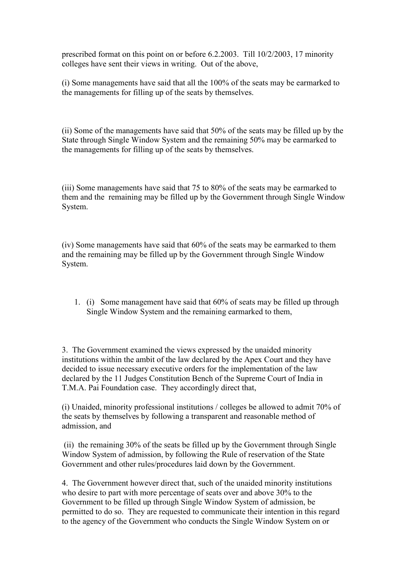prescribed format on this point on or before 6.2.2003. Till 10/2/2003, 17 minority colleges have sent their views in writing. Out of the above,

(i) Some managements have said that all the 100% of the seats may be earmarked to the managements for filling up of the seats by themselves.

(ii) Some of the managements have said that 50% of the seats may be filled up by the State through Single Window System and the remaining 50% may be earmarked to the managements for filling up of the seats by themselves.

(iii) Some managements have said that 75 to 80% of the seats may be earmarked to them and the remaining may be filled up by the Government through Single Window System.

(iv) Some managements have said that 60% of the seats may be earmarked to them and the remaining may be filled up by the Government through Single Window System.

1. (i) Some management have said that 60% of seats may be filled up through Single Window System and the remaining earmarked to them,

3. The Government examined the views expressed by the unaided minority institutions within the ambit of the law declared by the Apex Court and they have decided to issue necessary executive orders for the implementation of the law declared by the 11 Judges Constitution Bench of the Supreme Court of India in T.M.A. Pai Foundation case. They accordingly direct that,

(i) Unaided, minority professional institutions / colleges be allowed to admit 70% of the seats by themselves by following a transparent and reasonable method of admission, and

 (ii) the remaining 30% of the seats be filled up by the Government through Single Window System of admission, by following the Rule of reservation of the State Government and other rules/procedures laid down by the Government.

4. The Government however direct that, such of the unaided minority institutions who desire to part with more percentage of seats over and above 30% to the Government to be filled up through Single Window System of admission, be permitted to do so. They are requested to communicate their intention in this regard to the agency of the Government who conducts the Single Window System on or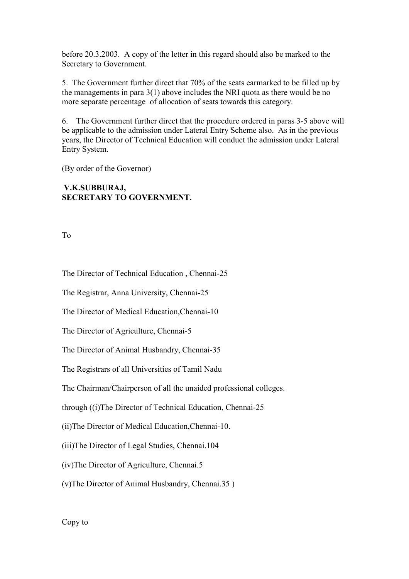before 20.3.2003. A copy of the letter in this regard should also be marked to the Secretary to Government.

5. The Government further direct that 70% of the seats earmarked to be filled up by the managements in para 3(1) above includes the NRI quota as there would be no more separate percentage of allocation of seats towards this category.

6. The Government further direct that the procedure ordered in paras 3-5 above will be applicable to the admission under Lateral Entry Scheme also. As in the previous years, the Director of Technical Education will conduct the admission under Lateral Entry System.

(By order of the Governor)

## **V.K.SUBBURAJ, SECRETARY TO GOVERNMENT.**

To

The Director of Technical Education , Chennai-25

The Registrar, Anna University, Chennai-25

The Director of Medical Education,Chennai-10

The Director of Agriculture, Chennai-5

The Director of Animal Husbandry, Chennai-35

The Registrars of all Universities of Tamil Nadu

The Chairman/Chairperson of all the unaided professional colleges.

through ((i)The Director of Technical Education, Chennai-25

(ii)The Director of Medical Education,Chennai-10.

(iii)The Director of Legal Studies, Chennai.104

(iv)The Director of Agriculture, Chennai.5

(v)The Director of Animal Husbandry, Chennai.35 )